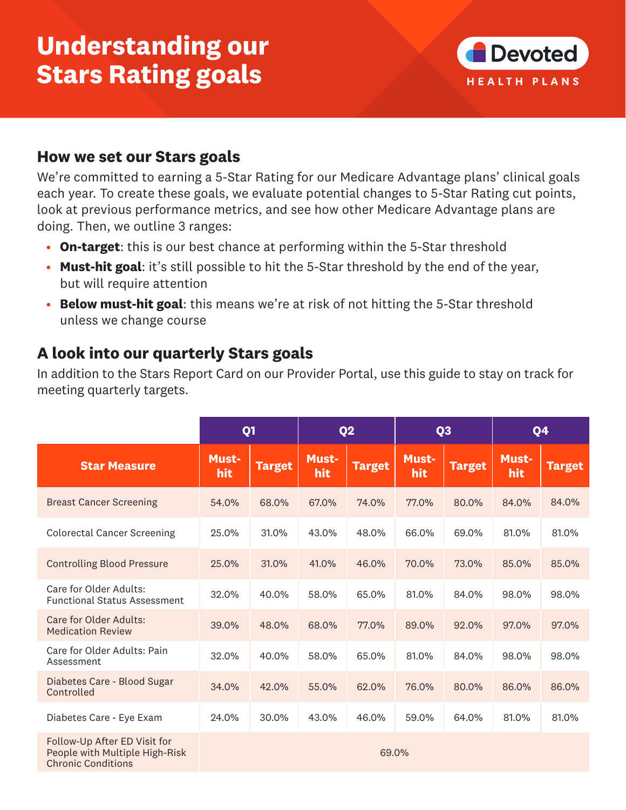# **Understanding our Stars Rating goals**



#### **How we set our Stars goals**

We're committed to earning a 5-Star Rating for our Medicare Advantage plans' clinical goals each year. To create these goals, we evaluate potential changes to 5-Star Rating cut points, look at previous performance metrics, and see how other Medicare Advantage plans are doing. Then, we outline 3 ranges:

- **On-target**: this is our best chance at performing within the 5-Star threshold
- **Must-hit goal**: it's still possible to hit the 5-Star threshold by the end of the year, but will require attention
- **Below must-hit goal**: this means we're at risk of not hitting the 5-Star threshold unless we change course

### **A look into our quarterly Stars goals**

In addition to the Stars Report Card on our Provider Portal, use this guide to stay on track for meeting quarterly targets.

|                                                                                             | Q <sub>1</sub>      |               | Q <sub>2</sub>      |               | Q <sub>3</sub>      |               | Q4                  |               |  |  |
|---------------------------------------------------------------------------------------------|---------------------|---------------|---------------------|---------------|---------------------|---------------|---------------------|---------------|--|--|
| <b>Star Measure</b>                                                                         | <b>Must-</b><br>hit | <b>Target</b> | <b>Must-</b><br>hit | <b>Target</b> | <b>Must-</b><br>hit | <b>Target</b> | <b>Must-</b><br>hit | <b>Target</b> |  |  |
| <b>Breast Cancer Screening</b>                                                              | 54.0%               | 68.0%         | 67.0%               | 74.0%         | 77.0%               | 80.0%         | 84.0%               | 84.0%         |  |  |
| <b>Colorectal Cancer Screening</b>                                                          | 25.0%               | 31.0%         | 43.0%               | 48.0%         | 66.0%               | 69.0%         | 81.0%               | 81.0%         |  |  |
| <b>Controlling Blood Pressure</b>                                                           | 25.0%               | 31.0%         | 41.0%               | 46.0%         | 70.0%               | 73.0%         | 85.0%               | 85.0%         |  |  |
| Care for Older Adults:<br><b>Functional Status Assessment</b>                               | 32.0%               | 40.0%         | 58.0%               | 65.0%         | 81.0%               | 84.0%         | 98.0%               | 98.0%         |  |  |
| Care for Older Adults:<br><b>Medication Review</b>                                          | 39.0%               | 48.0%         | 68.0%               | 77.0%         | 89.0%               | 92.0%         | 97.0%               | 97.0%         |  |  |
| Care for Older Adults: Pain<br>Assessment                                                   | 32.0%               | 40.0%         | 58.0%               | 65.0%         | 81.0%               | 84.0%         | 98.0%               | 98.0%         |  |  |
| Diabetes Care - Blood Sugar<br>Controlled                                                   | 34.0%               | 42.0%         | 55.0%               | 62.0%         | 76.0%               | 80.0%         | 86.0%               | 86.0%         |  |  |
| Diabetes Care - Eye Exam                                                                    | 24.0%               | 30.0%         | 43.0%               | 46.0%         | 59.0%               | 64.0%         | 81.0%               | 81.0%         |  |  |
| Follow-Up After ED Visit for<br>People with Multiple High-Risk<br><b>Chronic Conditions</b> | 69.0%               |               |                     |               |                     |               |                     |               |  |  |